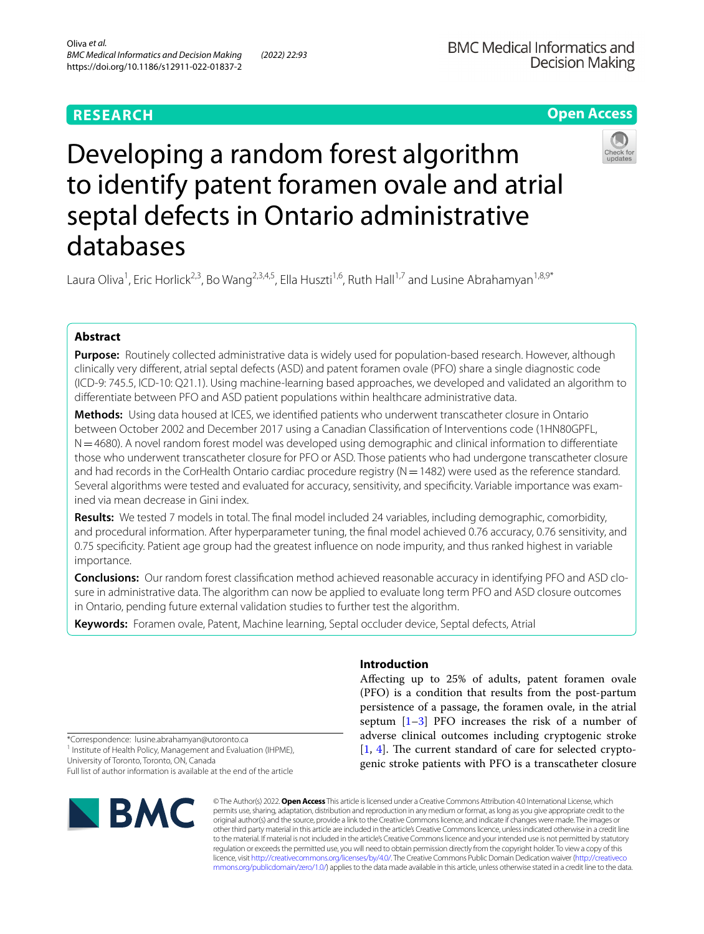# **Open Access**

# Developing a random forest algorithm to identify patent foramen ovale and atrial septal defects in Ontario administrative databases

Laura Oliva<sup>1</sup>, Eric Horlick<sup>2,3</sup>, Bo Wang<sup>2,3,4,5</sup>, Ella Huszti<sup>1,6</sup>, Ruth Hall<sup>1,7</sup> and Lusine Abrahamyan<sup>1,8,9\*</sup>

# **Abstract**

**Purpose:** Routinely collected administrative data is widely used for population-based research. However, although clinically very diferent, atrial septal defects (ASD) and patent foramen ovale (PFO) share a single diagnostic code (ICD-9: 745.5, ICD-10: Q21.1). Using machine-learning based approaches, we developed and validated an algorithm to diferentiate between PFO and ASD patient populations within healthcare administrative data.

**Methods:** Using data housed at ICES, we identifed patients who underwent transcatheter closure in Ontario between October 2002 and December 2017 using a Canadian Classifcation of Interventions code (1HN80GPFL, N=4680). A novel random forest model was developed using demographic and clinical information to differentiate those who underwent transcatheter closure for PFO or ASD. Those patients who had undergone transcatheter closure and had records in the CorHealth Ontario cardiac procedure registry  $(N=1482)$  were used as the reference standard. Several algorithms were tested and evaluated for accuracy, sensitivity, and specifcity. Variable importance was examined via mean decrease in Gini index.

**Results:** We tested 7 models in total. The fnal model included 24 variables, including demographic, comorbidity, and procedural information. After hyperparameter tuning, the fnal model achieved 0.76 accuracy, 0.76 sensitivity, and 0.75 specifcity. Patient age group had the greatest infuence on node impurity, and thus ranked highest in variable importance.

**Conclusions:** Our random forest classifcation method achieved reasonable accuracy in identifying PFO and ASD closure in administrative data. The algorithm can now be applied to evaluate long term PFO and ASD closure outcomes in Ontario, pending future external validation studies to further test the algorithm.

**Keywords:** Foramen ovale, Patent, Machine learning, Septal occluder device, Septal defects, Atrial

# **Introduction**

Afecting up to 25% of adults, patent foramen ovale (PFO) is a condition that results from the post-partum persistence of a passage, the foramen ovale, in the atrial septum  $[1-3]$  $[1-3]$  PFO increases the risk of a number of adverse clinical outcomes including cryptogenic stroke  $[1, 4]$  $[1, 4]$  $[1, 4]$  $[1, 4]$  $[1, 4]$ . The current standard of care for selected cryptogenic stroke patients with PFO is a transcatheter closure

\*Correspondence: lusine.abrahamyan@utoronto.ca <sup>1</sup> Institute of Health Policy, Management and Evaluation (IHPME), University of Toronto, Toronto, ON, Canada

Full list of author information is available at the end of the article



© The Author(s) 2022. **Open Access** This article is licensed under a Creative Commons Attribution 4.0 International License, which permits use, sharing, adaptation, distribution and reproduction in any medium or format, as long as you give appropriate credit to the original author(s) and the source, provide a link to the Creative Commons licence, and indicate if changes were made. The images or other third party material in this article are included in the article's Creative Commons licence, unless indicated otherwise in a credit line to the material. If material is not included in the article's Creative Commons licence and your intended use is not permitted by statutory regulation or exceeds the permitted use, you will need to obtain permission directly from the copyright holder. To view a copy of this licence, visit [http://creativecommons.org/licenses/by/4.0/.](http://creativecommons.org/licenses/by/4.0/) The Creative Commons Public Domain Dedication waiver ([http://creativeco](http://creativecommons.org/publicdomain/zero/1.0/) [mmons.org/publicdomain/zero/1.0/](http://creativecommons.org/publicdomain/zero/1.0/)) applies to the data made available in this article, unless otherwise stated in a credit line to the data.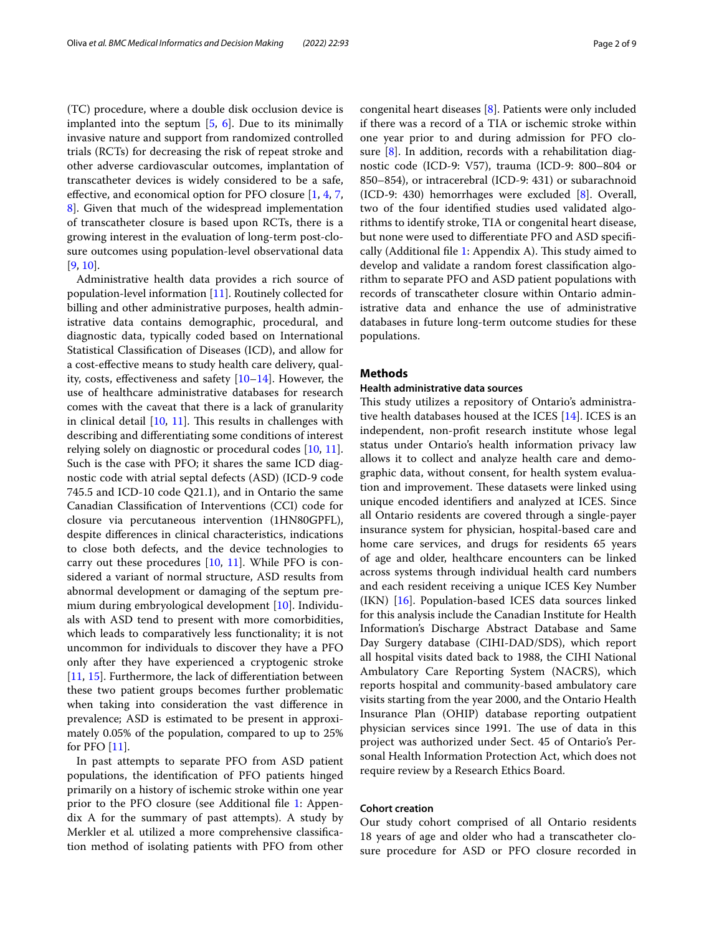(TC) procedure, where a double disk occlusion device is implanted into the septum [[5,](#page-8-3) [6\]](#page-8-4). Due to its minimally invasive nature and support from randomized controlled trials (RCTs) for decreasing the risk of repeat stroke and other adverse cardiovascular outcomes, implantation of transcatheter devices is widely considered to be a safe, efective, and economical option for PFO closure [[1,](#page-8-0) [4](#page-8-2), [7](#page-8-5), [8\]](#page-8-6). Given that much of the widespread implementation of transcatheter closure is based upon RCTs, there is a growing interest in the evaluation of long-term post-closure outcomes using population-level observational data [[9,](#page-8-7) [10](#page-8-8)].

Administrative health data provides a rich source of population-level information [\[11](#page-8-9)]. Routinely collected for billing and other administrative purposes, health administrative data contains demographic, procedural, and diagnostic data, typically coded based on International Statistical Classifcation of Diseases (ICD), and allow for a cost-efective means to study health care delivery, quality, costs, effectiveness and safety  $[10-14]$  $[10-14]$ . However, the use of healthcare administrative databases for research comes with the caveat that there is a lack of granularity in clinical detail  $[10, 11]$  $[10, 11]$  $[10, 11]$  $[10, 11]$  $[10, 11]$ . This results in challenges with describing and diferentiating some conditions of interest relying solely on diagnostic or procedural codes [\[10](#page-8-8), [11](#page-8-9)]. Such is the case with PFO; it shares the same ICD diagnostic code with atrial septal defects (ASD) (ICD-9 code 745.5 and ICD-10 code Q21.1), and in Ontario the same Canadian Classifcation of Interventions (CCI) code for closure via percutaneous intervention (1HN80GPFL), despite diferences in clinical characteristics, indications to close both defects, and the device technologies to carry out these procedures [[10](#page-8-8), [11](#page-8-9)]. While PFO is considered a variant of normal structure, ASD results from abnormal development or damaging of the septum premium during embryological development [\[10](#page-8-8)]. Individuals with ASD tend to present with more comorbidities, which leads to comparatively less functionality; it is not uncommon for individuals to discover they have a PFO only after they have experienced a cryptogenic stroke [[11,](#page-8-9) [15](#page-8-11)]. Furthermore, the lack of diferentiation between these two patient groups becomes further problematic when taking into consideration the vast diference in prevalence; ASD is estimated to be present in approximately 0.05% of the population, compared to up to 25% for PFO [[11\]](#page-8-9).

In past attempts to separate PFO from ASD patient populations, the identifcation of PFO patients hinged primarily on a history of ischemic stroke within one year prior to the PFO closure (see Additional fle [1:](#page-7-0) Appendix A for the summary of past attempts). A study by Merkler et al*.* utilized a more comprehensive classifcation method of isolating patients with PFO from other congenital heart diseases [[8\]](#page-8-6). Patients were only included if there was a record of a TIA or ischemic stroke within one year prior to and during admission for PFO closure [[8\]](#page-8-6). In addition, records with a rehabilitation diagnostic code (ICD-9: V57), trauma (ICD-9: 800–804 or 850–854), or intracerebral (ICD-9: 431) or subarachnoid (ICD-9: 430) hemorrhages were excluded [[8\]](#page-8-6). Overall, two of the four identifed studies used validated algorithms to identify stroke, TIA or congenital heart disease, but none were used to diferentiate PFO and ASD specif-cally (Additional file [1](#page-7-0): Appendix A). This study aimed to develop and validate a random forest classifcation algorithm to separate PFO and ASD patient populations with records of transcatheter closure within Ontario administrative data and enhance the use of administrative databases in future long-term outcome studies for these populations.

# **Methods**

# **Health administrative data sources**

This study utilizes a repository of Ontario's administrative health databases housed at the ICES [[14\]](#page-8-10). ICES is an independent, non-proft research institute whose legal status under Ontario's health information privacy law allows it to collect and analyze health care and demographic data, without consent, for health system evaluation and improvement. These datasets were linked using unique encoded identifers and analyzed at ICES. Since all Ontario residents are covered through a single-payer insurance system for physician, hospital-based care and home care services, and drugs for residents 65 years of age and older, healthcare encounters can be linked across systems through individual health card numbers and each resident receiving a unique ICES Key Number (IKN) [\[16](#page-8-12)]. Population-based ICES data sources linked for this analysis include the Canadian Institute for Health Information's Discharge Abstract Database and Same Day Surgery database (CIHI-DAD/SDS), which report all hospital visits dated back to 1988, the CIHI National Ambulatory Care Reporting System (NACRS), which reports hospital and community-based ambulatory care visits starting from the year 2000, and the Ontario Health Insurance Plan (OHIP) database reporting outpatient physician services since 1991. The use of data in this project was authorized under Sect. 45 of Ontario's Personal Health Information Protection Act, which does not require review by a Research Ethics Board.

# **Cohort creation**

Our study cohort comprised of all Ontario residents 18 years of age and older who had a transcatheter closure procedure for ASD or PFO closure recorded in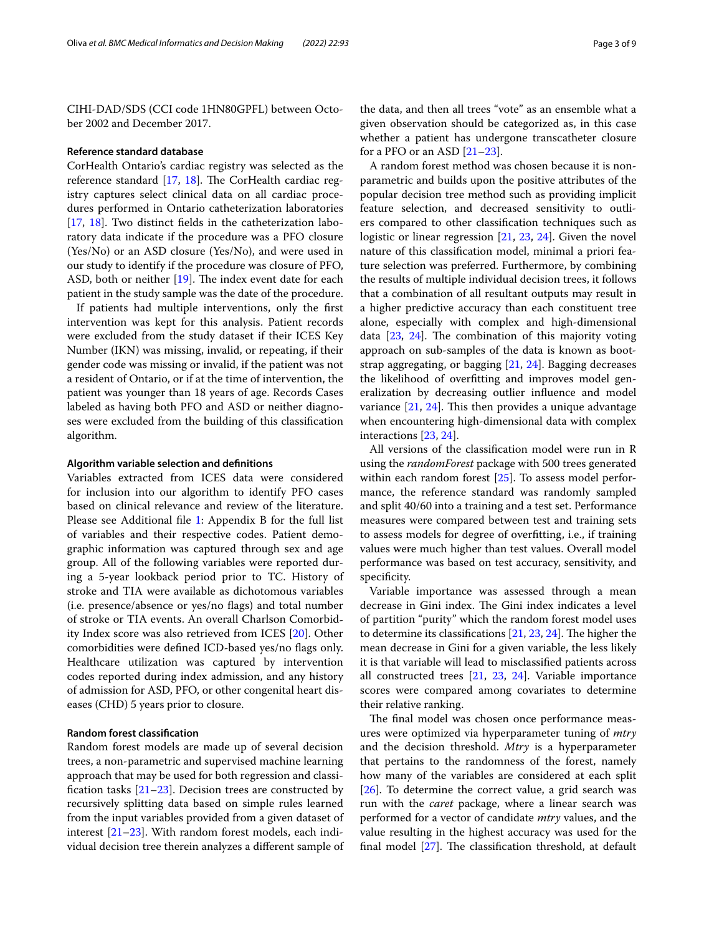CIHI-DAD/SDS (CCI code 1HN80GPFL) between October 2002 and December 2017.

# **Reference standard database**

CorHealth Ontario's cardiac registry was selected as the reference standard  $[17, 18]$  $[17, 18]$  $[17, 18]$  $[17, 18]$  $[17, 18]$ . The CorHealth cardiac registry captures select clinical data on all cardiac procedures performed in Ontario catheterization laboratories [[17,](#page-8-13) [18](#page-8-14)]. Two distinct felds in the catheterization laboratory data indicate if the procedure was a PFO closure (Yes/No) or an ASD closure (Yes/No), and were used in our study to identify if the procedure was closure of PFO, ASD, both or neither  $[19]$  $[19]$ . The index event date for each patient in the study sample was the date of the procedure.

If patients had multiple interventions, only the frst intervention was kept for this analysis. Patient records were excluded from the study dataset if their ICES Key Number (IKN) was missing, invalid, or repeating, if their gender code was missing or invalid, if the patient was not a resident of Ontario, or if at the time of intervention, the patient was younger than 18 years of age. Records Cases labeled as having both PFO and ASD or neither diagnoses were excluded from the building of this classifcation algorithm.

# **Algorithm variable selection and defnitions**

Variables extracted from ICES data were considered for inclusion into our algorithm to identify PFO cases based on clinical relevance and review of the literature. Please see Additional file [1](#page-7-0): Appendix B for the full list of variables and their respective codes. Patient demographic information was captured through sex and age group. All of the following variables were reported during a 5-year lookback period prior to TC. History of stroke and TIA were available as dichotomous variables (i.e. presence/absence or yes/no fags) and total number of stroke or TIA events. An overall Charlson Comorbidity Index score was also retrieved from ICES [[20\]](#page-8-16). Other comorbidities were defned ICD-based yes/no fags only. Healthcare utilization was captured by intervention codes reported during index admission, and any history of admission for ASD, PFO, or other congenital heart diseases (CHD) 5 years prior to closure.

# **Random forest classifcation**

Random forest models are made up of several decision trees, a non-parametric and supervised machine learning approach that may be used for both regression and classification tasks  $[21-23]$  $[21-23]$ . Decision trees are constructed by recursively splitting data based on simple rules learned from the input variables provided from a given dataset of interest  $[21-23]$  $[21-23]$ . With random forest models, each individual decision tree therein analyzes a diferent sample of

the data, and then all trees "vote" as an ensemble what a given observation should be categorized as, in this case whether a patient has undergone transcatheter closure for a PFO or an ASD [[21](#page-8-17)[–23](#page-8-18)].

A random forest method was chosen because it is nonparametric and builds upon the positive attributes of the popular decision tree method such as providing implicit feature selection, and decreased sensitivity to outliers compared to other classifcation techniques such as logistic or linear regression [\[21,](#page-8-17) [23](#page-8-18), [24](#page-8-19)]. Given the novel nature of this classifcation model, minimal a priori feature selection was preferred. Furthermore, by combining the results of multiple individual decision trees, it follows that a combination of all resultant outputs may result in a higher predictive accuracy than each constituent tree alone, especially with complex and high-dimensional data  $[23, 24]$  $[23, 24]$  $[23, 24]$  $[23, 24]$  $[23, 24]$ . The combination of this majority voting approach on sub-samples of the data is known as bootstrap aggregating, or bagging [[21](#page-8-17), [24](#page-8-19)]. Bagging decreases the likelihood of overftting and improves model generalization by decreasing outlier infuence and model variance  $[21, 24]$  $[21, 24]$  $[21, 24]$  $[21, 24]$ . This then provides a unique advantage when encountering high-dimensional data with complex interactions [[23,](#page-8-18) [24](#page-8-19)].

All versions of the classifcation model were run in R using the *randomForest* package with 500 trees generated within each random forest [\[25](#page-8-20)]. To assess model performance, the reference standard was randomly sampled and split 40/60 into a training and a test set. Performance measures were compared between test and training sets to assess models for degree of overftting, i.e., if training values were much higher than test values. Overall model performance was based on test accuracy, sensitivity, and specificity.

Variable importance was assessed through a mean decrease in Gini index. The Gini index indicates a level of partition "purity" which the random forest model uses to determine its classifications  $[21, 23, 24]$  $[21, 23, 24]$  $[21, 23, 24]$  $[21, 23, 24]$  $[21, 23, 24]$ . The higher the mean decrease in Gini for a given variable, the less likely it is that variable will lead to misclassifed patients across all constructed trees [[21,](#page-8-17) [23](#page-8-18), [24](#page-8-19)]. Variable importance scores were compared among covariates to determine their relative ranking.

The final model was chosen once performance measures were optimized via hyperparameter tuning of *mtry* and the decision threshold. *Mtry* is a hyperparameter that pertains to the randomness of the forest, namely how many of the variables are considered at each split [[26\]](#page-8-21). To determine the correct value, a grid search was run with the *caret* package, where a linear search was performed for a vector of candidate *mtry* values, and the value resulting in the highest accuracy was used for the final model  $[27]$  $[27]$ . The classification threshold, at default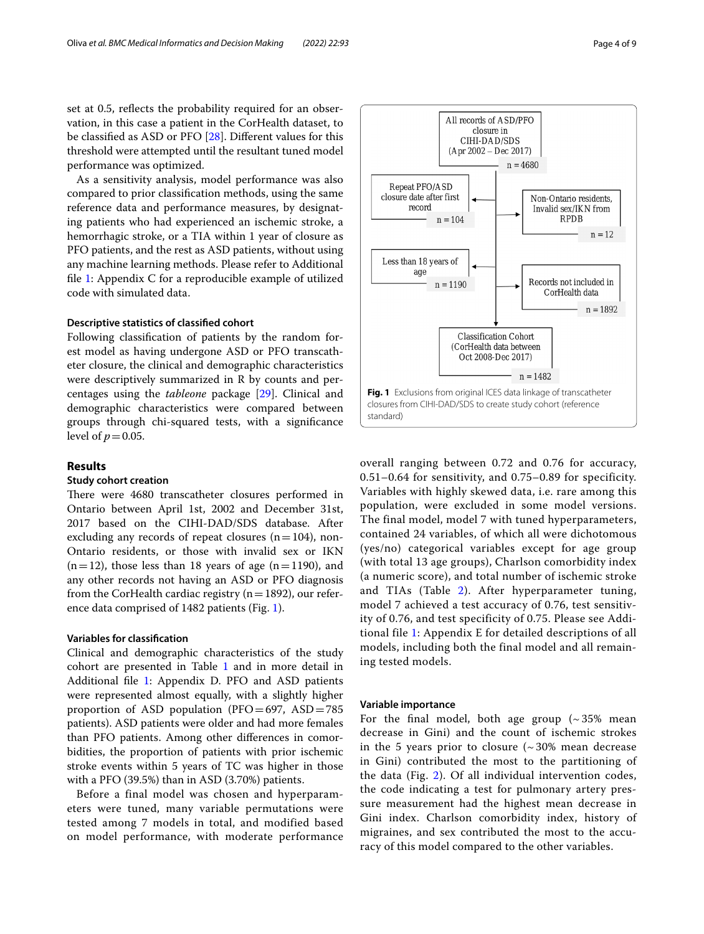set at 0.5, reflects the probability required for an observation, in this case a patient in the CorHealth dataset, to be classifed as ASD or PFO [[28](#page-8-23)]. Diferent values for this threshold were attempted until the resultant tuned model performance was optimized.

As a sensitivity analysis, model performance was also compared to prior classifcation methods, using the same reference data and performance measures, by designating patients who had experienced an ischemic stroke, a hemorrhagic stroke, or a TIA within 1 year of closure as PFO patients, and the rest as ASD patients, without using any machine learning methods. Please refer to Additional fle [1:](#page-7-0) Appendix C for a reproducible example of utilized code with simulated data.

# **Descriptive statistics of classifed cohort**

Following classifcation of patients by the random forest model as having undergone ASD or PFO transcatheter closure, the clinical and demographic characteristics were descriptively summarized in R by counts and percentages using the *tableone* package [[29](#page-8-24)]. Clinical and demographic characteristics were compared between groups through chi-squared tests, with a signifcance level of  $p=0.05$ .

# **Results**

# **Study cohort creation**

There were 4680 transcatheter closures performed in Ontario between April 1st, 2002 and December 31st, 2017 based on the CIHI-DAD/SDS database. After excluding any records of repeat closures  $(n=104)$ , non-Ontario residents, or those with invalid sex or IKN  $(n=12)$ , those less than 18 years of age  $(n=1190)$ , and any other records not having an ASD or PFO diagnosis from the CorHealth cardiac registry ( $n=1892$ ), our reference data comprised of 1482 patients (Fig. [1](#page-3-0)).

# **Variables for classifcation**

Clinical and demographic characteristics of the study cohort are presented in Table [1](#page-4-0) and in more detail in Additional fle [1:](#page-7-0) Appendix D. PFO and ASD patients were represented almost equally, with a slightly higher proportion of ASD population ( $PFO=697$ ,  $ASD=785$ patients). ASD patients were older and had more females than PFO patients. Among other diferences in comorbidities, the proportion of patients with prior ischemic stroke events within 5 years of TC was higher in those with a PFO (39.5%) than in ASD (3.70%) patients.

Before a final model was chosen and hyperparameters were tuned, many variable permutations were tested among 7 models in total, and modified based on model performance, with moderate performance



<span id="page-3-0"></span>overall ranging between 0.72 and 0.76 for accuracy, 0.51–0.64 for sensitivity, and 0.75–0.89 for specificity. Variables with highly skewed data, i.e. rare among this population, were excluded in some model versions. The final model, model 7 with tuned hyperparameters, contained 24 variables, of which all were dichotomous (yes/no) categorical variables except for age group (with total 13 age groups), Charlson comorbidity index (a numeric score), and total number of ischemic stroke and TIAs (Table [2\)](#page-5-0). After hyperparameter tuning, model 7 achieved a test accuracy of 0.76, test sensitivity of 0.76, and test specificity of 0.75. Please see Additional file [1](#page-7-0): Appendix E for detailed descriptions of all models, including both the final model and all remaining tested models.

# **Variable importance**

For the final model, both age group  $({\sim}35\%$  mean decrease in Gini) and the count of ischemic strokes in the 5 years prior to closure  $($   $\sim$  30% mean decrease in Gini) contributed the most to the partitioning of the data (Fig. [2\)](#page-6-0). Of all individual intervention codes, the code indicating a test for pulmonary artery pressure measurement had the highest mean decrease in Gini index. Charlson comorbidity index, history of migraines, and sex contributed the most to the accuracy of this model compared to the other variables.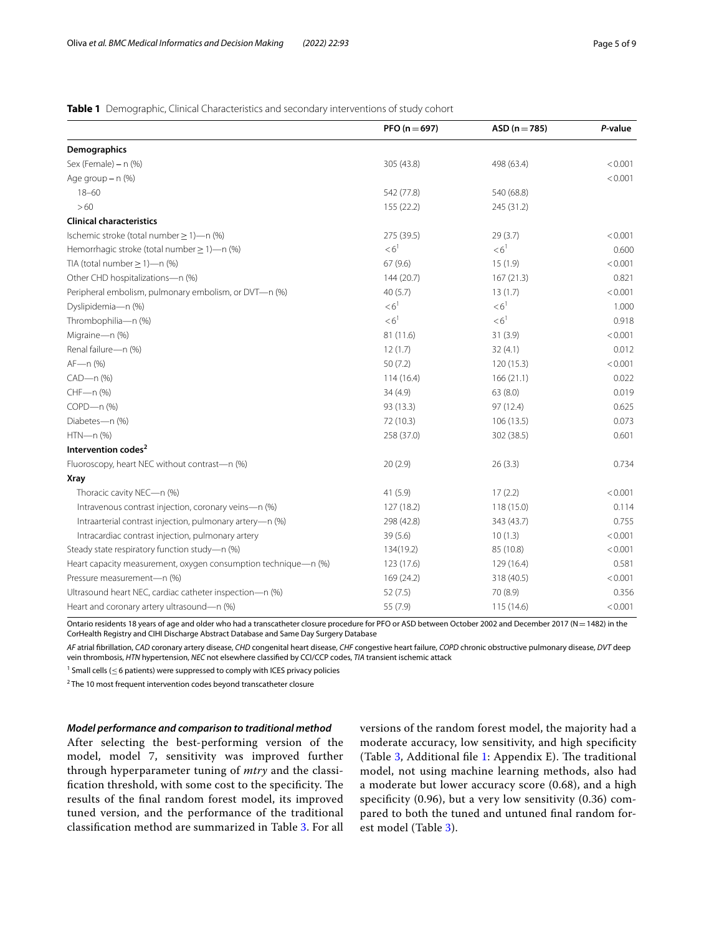# <span id="page-4-0"></span>**Table 1** Demographic, Clinical Characteristics and secondary interventions of study cohort

|                                                                | PFO ( $n = 697$ ) | $ASD (n = 785)$   | P-value |
|----------------------------------------------------------------|-------------------|-------------------|---------|
| Demographics                                                   |                   |                   |         |
| Sex (Female) - n (%)                                           | 305 (43.8)        | 498 (63.4)        | < 0.001 |
| Age group - n (%)                                              |                   |                   | < 0.001 |
| $18 - 60$                                                      | 542 (77.8)        | 540 (68.8)        |         |
| >60                                                            | 155 (22.2)        | 245 (31.2)        |         |
| <b>Clinical characteristics</b>                                |                   |                   |         |
| Ischemic stroke (total number $\geq$ 1)-n (%)                  | 275 (39.5)        | 29(3.7)           | < 0.001 |
| Hemorrhagic stroke (total number $\geq$ 1)-n (%)               | $<6$ <sup>1</sup> | $<6$ <sup>1</sup> | 0.600   |
| TIA (total number $\geq$ 1)-n (%)                              | 67(9.6)           | 15(1.9)           | < 0.001 |
| Other CHD hospitalizations-n (%)                               | 144 (20.7)        | 167(21.3)         | 0.821   |
| Peripheral embolism, pulmonary embolism, or DVT-n (%)          | 40(5.7)           | 13(1.7)           | < 0.001 |
| Dyslipidemia-n (%)                                             | < 6 <sup>1</sup>  | < 6 <sup>1</sup>  | 1.000   |
| Thrombophilia-n (%)                                            | < 6 <sup>1</sup>  | < 6 <sup>1</sup>  | 0.918   |
| Migraine-n (%)                                                 | 81 (11.6)         | 31(3.9)           | < 0.001 |
| Renal failure-n (%)                                            | 12(1.7)           | 32(4.1)           | 0.012   |
| AF-n (%)                                                       | 50(7.2)           | 120(15.3)         | < 0.001 |
| CAD-n (%)                                                      | 114(16.4)         | 166(21.1)         | 0.022   |
| CHF-n (%)                                                      | 34(4.9)           | 63(8.0)           | 0.019   |
| COPD-n (%)                                                     | 93 (13.3)         | 97(12.4)          | 0.625   |
| Diabetes-n (%)                                                 | 72 (10.3)         | 106(13.5)         | 0.073   |
| HTN-n (%)                                                      | 258 (37.0)        | 302 (38.5)        | 0.601   |
| Intervention codes <sup>2</sup>                                |                   |                   |         |
| Fluoroscopy, heart NEC without contrast-n (%)                  | 20(2.9)           | 26(3.3)           | 0.734   |
| <b>Xray</b>                                                    |                   |                   |         |
| Thoracic cavity NEC-n (%)                                      | 41(5.9)           | 17(2.2)           | < 0.001 |
| Intravenous contrast injection, coronary veins-n (%)           | 127 (18.2)        | 118 (15.0)        | 0.114   |
| Intraarterial contrast injection, pulmonary artery-n (%)       | 298 (42.8)        | 343 (43.7)        | 0.755   |
| Intracardiac contrast injection, pulmonary artery              | 39(5.6)           | 10(1.3)           | < 0.001 |
| Steady state respiratory function study-n (%)                  | 134(19.2)         | 85 (10.8)         | < 0.001 |
| Heart capacity measurement, oxygen consumption technique-n (%) | 123 (17.6)        | 129 (16.4)        | 0.581   |
| Pressure measurement-n (%)                                     | 169 (24.2)        | 318 (40.5)        | < 0.001 |
| Ultrasound heart NEC, cardiac catheter inspection-n (%)        | 52(7.5)           | 70 (8.9)          | 0.356   |
| Heart and coronary artery ultrasound-n (%)                     | 55 (7.9)          | 115(14.6)         | < 0.001 |

Ontario residents 18 years of age and older who had a transcatheter closure procedure for PFO or ASD between October 2002 and December 2017 (N=1482) in the CorHealth Registry and CIHI Discharge Abstract Database and Same Day Surgery Database

*AF* atrial fbrillation, *CAD* coronary artery disease, *CHD* congenital heart disease, *CHF* congestive heart failure, *COPD* chronic obstructive pulmonary disease, *DVT* deep vein thrombosis, *HTN* hypertension, *NEC* not elsewhere classifed by CCI/CCP codes, *TIA* transient ischemic attack

<sup>1</sup> Small cells ( $\leq$  6 patients) were suppressed to comply with ICES privacy policies

 $2$  The 10 most frequent intervention codes beyond transcatheter closure

# *Model performance and comparison to traditional method*

After selecting the best-performing version of the model, model 7, sensitivity was improved further through hyperparameter tuning of *mtry* and the classification threshold, with some cost to the specificity. The results of the fnal random forest model, its improved tuned version, and the performance of the traditional classifcation method are summarized in Table [3](#page-6-1). For all

versions of the random forest model, the majority had a moderate accuracy, low sensitivity, and high specifcity (Table  $3$ , Additional file [1:](#page-7-0) Appendix E). The traditional model, not using machine learning methods, also had a moderate but lower accuracy score (0.68), and a high specifcity (0.96), but a very low sensitivity (0.36) compared to both the tuned and untuned fnal random forest model (Table [3\)](#page-6-1).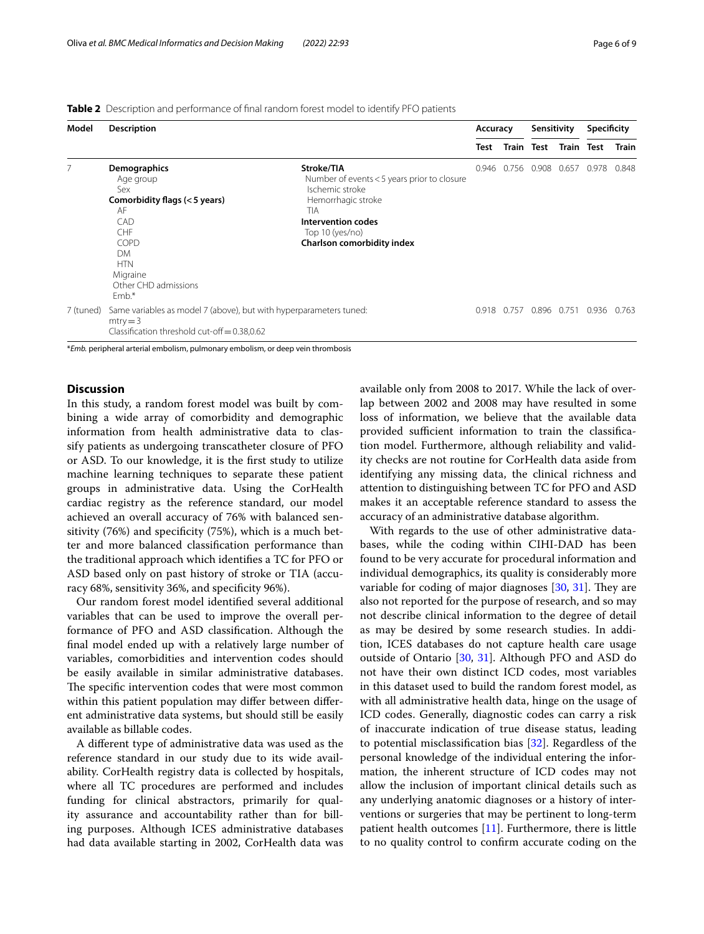<span id="page-5-0"></span>

| <b>Table 2</b> Description and performance of final random forest model to identify PFO patients |  |  |  |
|--------------------------------------------------------------------------------------------------|--|--|--|
|--------------------------------------------------------------------------------------------------|--|--|--|

| Model     | <b>Description</b>                                                                                                                                                     |                                                                                                                                                                                         | Accuracy |             | Sensitivity       |       | Specificity       |              |
|-----------|------------------------------------------------------------------------------------------------------------------------------------------------------------------------|-----------------------------------------------------------------------------------------------------------------------------------------------------------------------------------------|----------|-------------|-------------------|-------|-------------------|--------------|
|           |                                                                                                                                                                        |                                                                                                                                                                                         | Test     |             | <b>Train Test</b> |       | <b>Train Test</b> | <b>Train</b> |
|           | Demographics<br>Age group<br>Sex<br>Comorbidity flags (<5 years)<br>AF<br>CAD<br>CHF<br>COPD<br><b>DM</b><br><b>HTN</b><br>Migraine<br>Other CHD admissions<br>$Emb.*$ | Stroke/TIA<br>Number of events < 5 years prior to closure<br>Ischemic stroke<br>Hemorrhagic stroke<br><b>TIA</b><br>Intervention codes<br>Top 10 (yes/no)<br>Charlson comorbidity index | 0.946    | 0.756       | 0.908             | 0.657 | 0.978             | 0.848        |
| 7 (tuned) | Same variables as model 7 (above), but with hyperparameters tuned:<br>$mtry = 3$<br>Classification threshold cut-off $= 0.38, 0.62$                                    |                                                                                                                                                                                         |          | 0.918 0.757 | 0.896             |       | 0.751 0.936       | 0.763        |

\**Emb.* peripheral arterial embolism, pulmonary embolism, or deep vein thrombosis

# **Discussion**

In this study, a random forest model was built by combining a wide array of comorbidity and demographic information from health administrative data to classify patients as undergoing transcatheter closure of PFO or ASD. To our knowledge, it is the frst study to utilize machine learning techniques to separate these patient groups in administrative data. Using the CorHealth cardiac registry as the reference standard, our model achieved an overall accuracy of 76% with balanced sensitivity (76%) and specifcity (75%), which is a much better and more balanced classifcation performance than the traditional approach which identifes a TC for PFO or ASD based only on past history of stroke or TIA (accuracy 68%, sensitivity 36%, and specificity 96%).

Our random forest model identifed several additional variables that can be used to improve the overall performance of PFO and ASD classifcation. Although the fnal model ended up with a relatively large number of variables, comorbidities and intervention codes should be easily available in similar administrative databases. The specific intervention codes that were most common within this patient population may difer between diferent administrative data systems, but should still be easily available as billable codes.

A diferent type of administrative data was used as the reference standard in our study due to its wide availability. CorHealth registry data is collected by hospitals, where all TC procedures are performed and includes funding for clinical abstractors, primarily for quality assurance and accountability rather than for billing purposes. Although ICES administrative databases had data available starting in 2002, CorHealth data was available only from 2008 to 2017. While the lack of overlap between 2002 and 2008 may have resulted in some loss of information, we believe that the available data provided sufficient information to train the classification model. Furthermore, although reliability and validity checks are not routine for CorHealth data aside from identifying any missing data, the clinical richness and attention to distinguishing between TC for PFO and ASD makes it an acceptable reference standard to assess the accuracy of an administrative database algorithm.

With regards to the use of other administrative databases, while the coding within CIHI-DAD has been found to be very accurate for procedural information and individual demographics, its quality is considerably more variable for coding of major diagnoses  $[30, 31]$  $[30, 31]$  $[30, 31]$  $[30, 31]$ . They are also not reported for the purpose of research, and so may not describe clinical information to the degree of detail as may be desired by some research studies. In addition, ICES databases do not capture health care usage outside of Ontario [[30](#page-8-25), [31\]](#page-8-26). Although PFO and ASD do not have their own distinct ICD codes, most variables in this dataset used to build the random forest model, as with all administrative health data, hinge on the usage of ICD codes. Generally, diagnostic codes can carry a risk of inaccurate indication of true disease status, leading to potential misclassifcation bias [\[32\]](#page-8-27). Regardless of the personal knowledge of the individual entering the information, the inherent structure of ICD codes may not allow the inclusion of important clinical details such as any underlying anatomic diagnoses or a history of interventions or surgeries that may be pertinent to long-term patient health outcomes [[11](#page-8-9)]. Furthermore, there is little to no quality control to confrm accurate coding on the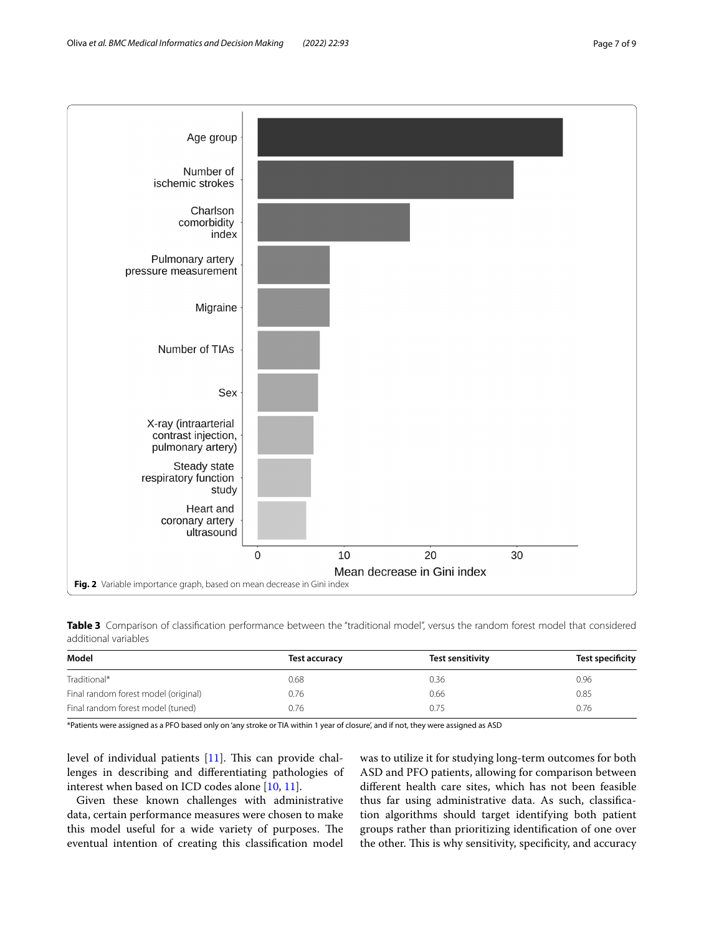

<span id="page-6-1"></span><span id="page-6-0"></span>**Table 3** Comparison of classifcation performance between the "traditional model", versus the random forest model that considered additional variables

| Model                                | <b>Test accuracy</b> | Test sensitivity | <b>Test specificity</b> |
|--------------------------------------|----------------------|------------------|-------------------------|
| Traditional*                         | 0.68                 | 0.36             | 0.96                    |
| Final random forest model (original) | 0.76                 | 0.66             | 0.85                    |
| Final random forest model (tuned)    | 0.76                 | 0.75             | 0.76                    |

\*Patients were assigned as a PFO based only on 'any stroke or TIA within 1 year of closure', and if not, they were assigned as ASD

level of individual patients  $[11]$ . This can provide challenges in describing and diferentiating pathologies of interest when based on ICD codes alone [\[10,](#page-8-8) [11](#page-8-9)].

Given these known challenges with administrative data, certain performance measures were chosen to make this model useful for a wide variety of purposes. The eventual intention of creating this classifcation model

was to utilize it for studying long-term outcomes for both ASD and PFO patients, allowing for comparison between diferent health care sites, which has not been feasible thus far using administrative data. As such, classifcation algorithms should target identifying both patient groups rather than prioritizing identifcation of one over the other. This is why sensitivity, specificity, and accuracy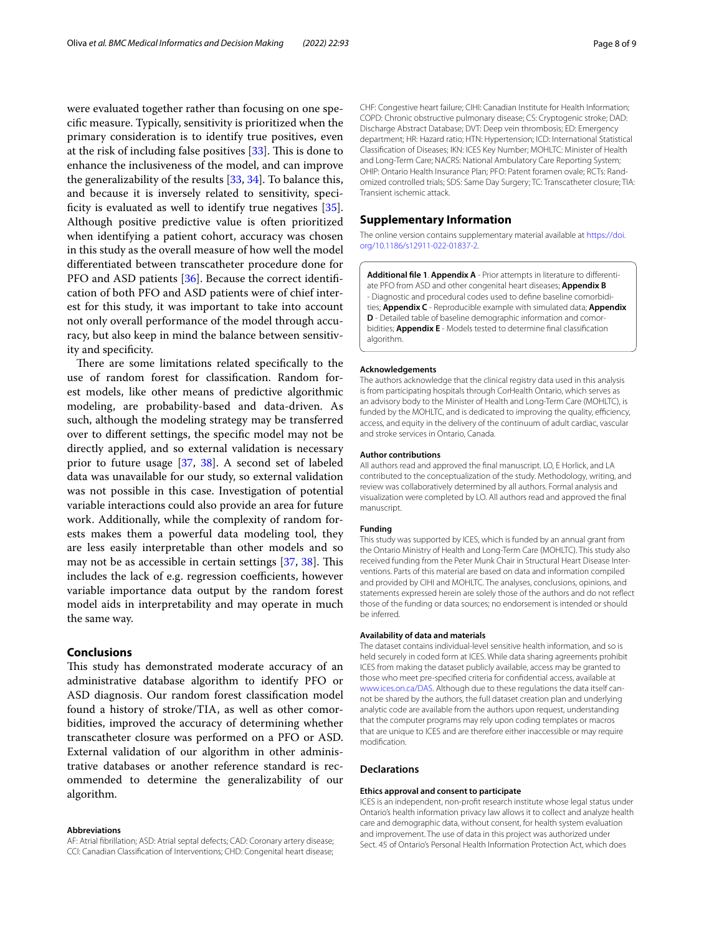were evaluated together rather than focusing on one specifc measure. Typically, sensitivity is prioritized when the primary consideration is to identify true positives, even at the risk of including false positives  $[33]$ . This is done to enhance the inclusiveness of the model, and can improve the generalizability of the results [[33,](#page-8-28) [34\]](#page-8-29). To balance this, and because it is inversely related to sensitivity, specificity is evaluated as well to identify true negatives  $[35]$  $[35]$ . Although positive predictive value is often prioritized when identifying a patient cohort, accuracy was chosen in this study as the overall measure of how well the model diferentiated between transcatheter procedure done for PFO and ASD patients [\[36](#page-8-31)]. Because the correct identifcation of both PFO and ASD patients were of chief interest for this study, it was important to take into account not only overall performance of the model through accuracy, but also keep in mind the balance between sensitivity and specifcity.

There are some limitations related specifically to the use of random forest for classifcation. Random forest models, like other means of predictive algorithmic modeling, are probability-based and data-driven. As such, although the modeling strategy may be transferred over to diferent settings, the specifc model may not be directly applied, and so external validation is necessary prior to future usage [[37](#page-8-32), [38\]](#page-8-33). A second set of labeled data was unavailable for our study, so external validation was not possible in this case. Investigation of potential variable interactions could also provide an area for future work. Additionally, while the complexity of random forests makes them a powerful data modeling tool, they are less easily interpretable than other models and so may not be as accessible in certain settings  $[37, 38]$  $[37, 38]$  $[37, 38]$ . This includes the lack of e.g. regression coefficients, however variable importance data output by the random forest model aids in interpretability and may operate in much the same way.

# **Conclusions**

This study has demonstrated moderate accuracy of an administrative database algorithm to identify PFO or ASD diagnosis. Our random forest classifcation model found a history of stroke/TIA, as well as other comorbidities, improved the accuracy of determining whether transcatheter closure was performed on a PFO or ASD. External validation of our algorithm in other administrative databases or another reference standard is recommended to determine the generalizability of our algorithm.

### **Abbreviations**

AF: Atrial fbrillation; ASD: Atrial septal defects; CAD: Coronary artery disease; CCI: Canadian Classifcation of Interventions; CHD: Congenital heart disease;

CHF: Congestive heart failure; CIHI: Canadian Institute for Health Information; COPD: Chronic obstructive pulmonary disease; CS: Cryptogenic stroke; DAD: Discharge Abstract Database; DVT: Deep vein thrombosis; ED: Emergency department; HR: Hazard ratio; HTN: Hypertension; ICD: International Statistical Classifcation of Diseases; IKN: ICES Key Number; MOHLTC: Minister of Health and Long-Term Care; NACRS: National Ambulatory Care Reporting System; OHIP: Ontario Health Insurance Plan; PFO: Patent foramen ovale; RCTs: Randomized controlled trials; SDS: Same Day Surgery; TC: Transcatheter closure; TIA: Transient ischemic attack.

# **Supplementary Information**

The online version contains supplementary material available at [https://doi.](https://doi.org/10.1186/s12911-022-01837-2) [org/10.1186/s12911-022-01837-2](https://doi.org/10.1186/s12911-022-01837-2).

<span id="page-7-0"></span>**Additional fle 1**. **Appendix A** - Prior attempts in literature to diferentiate PFO from ASD and other congenital heart diseases; **Appendix B** - Diagnostic and procedural codes used to defne baseline comorbidities; **Appendix C** - Reproducible example with simulated data; **Appendix D** - Detailed table of baseline demographic information and comorbidities; **Appendix E** - Models tested to determine fnal classifcation algorithm.

#### **Acknowledgements**

The authors acknowledge that the clinical registry data used in this analysis is from participating hospitals through CorHealth Ontario, which serves as an advisory body to the Minister of Health and Long-Term Care (MOHLTC), is funded by the MOHLTC, and is dedicated to improving the quality, efficiency, access, and equity in the delivery of the continuum of adult cardiac, vascular and stroke services in Ontario, Canada.

# **Author contributions**

All authors read and approved the fnal manuscript. LO, E Horlick, and LA contributed to the conceptualization of the study. Methodology, writing, and review was collaboratively determined by all authors. Formal analysis and visualization were completed by LO. All authors read and approved the fnal manuscript.

# **Funding**

This study was supported by ICES, which is funded by an annual grant from the Ontario Ministry of Health and Long-Term Care (MOHLTC). This study also received funding from the Peter Munk Chair in Structural Heart Disease Interventions. Parts of this material are based on data and information compiled and provided by CIHI and MOHLTC. The analyses, conclusions, opinions, and statements expressed herein are solely those of the authors and do not refect those of the funding or data sources; no endorsement is intended or should be inferred.

### **Availability of data and materials**

The dataset contains individual-level sensitive health information, and so is held securely in coded form at ICES. While data sharing agreements prohibit ICES from making the dataset publicly available, access may be granted to those who meet pre-specifed criteria for confdential access, available at [www.ices.on.ca/DAS](http://www.ices.on.ca/DAS). Although due to these regulations the data itself cannot be shared by the authors, the full dataset creation plan and underlying analytic code are available from the authors upon request, understanding that the computer programs may rely upon coding templates or macros that are unique to ICES and are therefore either inaccessible or may require modifcation.

# **Declarations**

# **Ethics approval and consent to participate**

ICES is an independent, non-proft research institute whose legal status under Ontario's health information privacy law allows it to collect and analyze health care and demographic data, without consent, for health system evaluation and improvement. The use of data in this project was authorized under Sect. 45 of Ontario's Personal Health Information Protection Act, which does